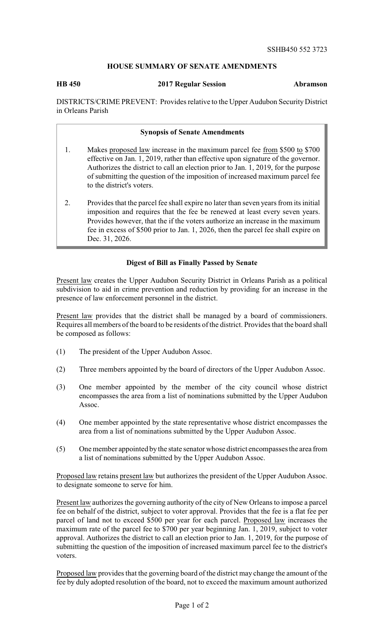## **HOUSE SUMMARY OF SENATE AMENDMENTS**

**HB 450 2017 Regular Session Abramson**

DISTRICTS/CRIME PREVENT: Provides relative to the Upper Audubon Security District in Orleans Parish

## **Synopsis of Senate Amendments**

- 1. Makes proposed law increase in the maximum parcel fee from \$500 to \$700 effective on Jan. 1, 2019, rather than effective upon signature of the governor. Authorizes the district to call an election prior to Jan. 1, 2019, for the purpose of submitting the question of the imposition of increased maximum parcel fee to the district's voters.
- 2. Provides that the parcel fee shall expire no later than seven years from its initial imposition and requires that the fee be renewed at least every seven years. Provides however, that the if the voters authorize an increase in the maximum fee in excess of \$500 prior to Jan. 1, 2026, then the parcel fee shall expire on Dec. 31, 2026.

## **Digest of Bill as Finally Passed by Senate**

Present law creates the Upper Audubon Security District in Orleans Parish as a political subdivision to aid in crime prevention and reduction by providing for an increase in the presence of law enforcement personnel in the district.

Present law provides that the district shall be managed by a board of commissioners. Requires all members of the board to be residents of the district. Provides that the board shall be composed as follows:

- (1) The president of the Upper Audubon Assoc.
- (2) Three members appointed by the board of directors of the Upper Audubon Assoc.
- (3) One member appointed by the member of the city council whose district encompasses the area from a list of nominations submitted by the Upper Audubon Assoc.
- (4) One member appointed by the state representative whose district encompasses the area from a list of nominations submitted by the Upper Audubon Assoc.
- (5) One member appointed by the state senator whose district encompasses the area from a list of nominations submitted by the Upper Audubon Assoc.

Proposed law retains present law but authorizes the president of the Upper Audubon Assoc. to designate someone to serve for him.

Present law authorizes the governing authority of the city of New Orleans to impose a parcel fee on behalf of the district, subject to voter approval. Provides that the fee is a flat fee per parcel of land not to exceed \$500 per year for each parcel. Proposed law increases the maximum rate of the parcel fee to \$700 per year beginning Jan. 1, 2019, subject to voter approval. Authorizes the district to call an election prior to Jan. 1, 2019, for the purpose of submitting the question of the imposition of increased maximum parcel fee to the district's voters.

Proposed law provides that the governing board of the district may change the amount of the fee by duly adopted resolution of the board, not to exceed the maximum amount authorized